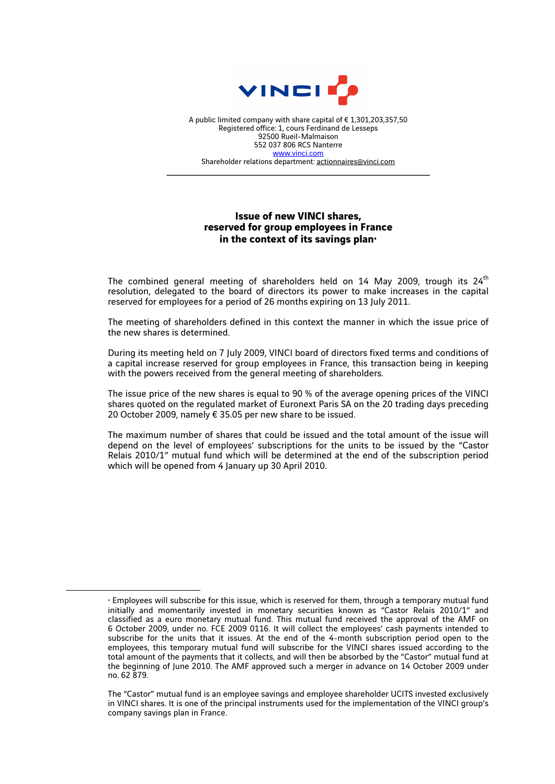

A public limited company with share capital of € 1,301,203,357,50 Registered office: 1, cours Ferdinand de Lesseps 92500 Rueil-Malmaison 552 037 806 RCS Nanterre www.vinci.com Shareholder relations department: actionnaires@vinci.com

\_\_\_\_\_\_\_\_\_\_\_\_\_\_\_\_\_\_\_\_\_\_\_\_\_\_\_\_\_\_\_\_\_\_\_\_

## **Issue of new VINCI shares, reserved for group employees in France**  in the context of its savings plan<sup>+</sup>

The combined general meeting of shareholders held on 14 May 2009, trough its  $24<sup>th</sup>$ resolution, delegated to the board of directors its power to make increases in the capital reserved for employees for a period of 26 months expiring on 13 July 2011.

The meeting of shareholders defined in this context the manner in which the issue price of the new shares is determined.

During its meeting held on 7 July 2009, VINCI board of directors fixed terms and conditions of a capital increase reserved for group employees in France, this transaction being in keeping with the powers received from the general meeting of shareholders.

The issue price of the new shares is equal to 90 % of the average opening prices of the VINCI shares quoted on the regulated market of Euronext Paris SA on the 20 trading days preceding 20 October 2009, namely € 35.05 per new share to be issued.

The maximum number of shares that could be issued and the total amount of the issue will depend on the level of employees' subscriptions for the units to be issued by the "Castor Relais 2010/1" mutual fund which will be determined at the end of the subscription period which will be opened from 4 January up 30 April 2010.

 $\overline{a}$ 

<sup>♦</sup> Employees will subscribe for this issue, which is reserved for them, through a temporary mutual fund initially and momentarily invested in monetary securities known as "Castor Relais 2010/1" and classified as a euro monetary mutual fund. This mutual fund received the approval of the AMF on 6 October 2009, under no. FCE 2009 0116. It will collect the employees' cash payments intended to subscribe for the units that it issues. At the end of the 4-month subscription period open to the employees, this temporary mutual fund will subscribe for the VINCI shares issued according to the total amount of the payments that it collects, and will then be absorbed by the "Castor" mutual fund at the beginning of June 2010. The AMF approved such a merger in advance on 14 October 2009 under no. 62 879.

The "Castor" mutual fund is an employee savings and employee shareholder UCITS invested exclusively in VINCI shares. It is one of the principal instruments used for the implementation of the VINCI group's company savings plan in France.